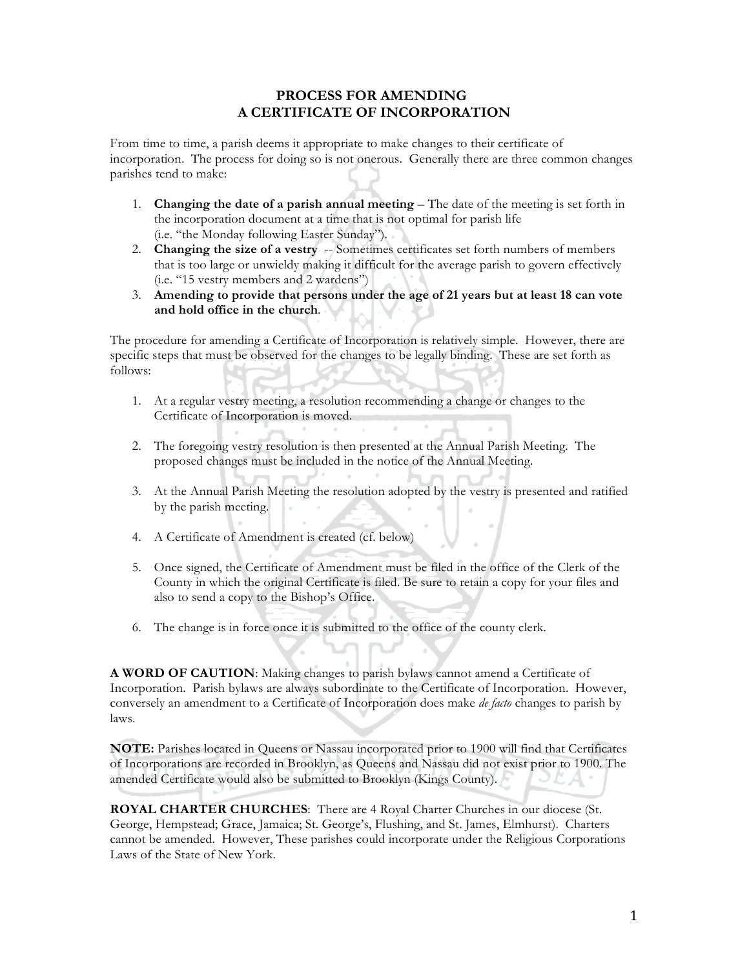## **PROCESS FOR AMENDING A CERTIFICATE OF INCORPORATION**

From time to time, a parish deems it appropriate to make changes to their certificate of incorporation. The process for doing so is not onerous. Generally there are three common changes parishes tend to make:

- 1. **Changing the date of a parish annual meeting** The date of the meeting is set forth in the incorporation document at a time that is not optimal for parish life (i.e. "the Monday following Easter Sunday").
- 2. **Changing the size of a vestry** -- Sometimes certificates set forth numbers of members that is too large or unwieldy making it difficult for the average parish to govern effectively (i.e. "15 vestry members and 2 wardens")
- 3. **Amending to provide that persons under the age of 21 years but at least 18 can vote and hold office in the church**.

The procedure for amending a Certificate of Incorporation is relatively simple. However, there are specific steps that must be observed for the changes to be legally binding. These are set forth as follows:

- 1. At a regular vestry meeting, a resolution recommending a change or changes to the Certificate of Incorporation is moved.
- 2. The foregoing vestry resolution is then presented at the Annual Parish Meeting. The proposed changes must be included in the notice of the Annual Meeting.
- 3. At the Annual Parish Meeting the resolution adopted by the vestry is presented and ratified by the parish meeting.
- 4. A Certificate of Amendment is created (cf. below)
- 5. Once signed, the Certificate of Amendment must be filed in the office of the Clerk of the County in which the original Certificate is filed. Be sure to retain a copy for your files and also to send a copy to the Bishop's Office.
- 6. The change is in force once it is submitted to the office of the county clerk.

**A WORD OF CAUTION**: Making changes to parish bylaws cannot amend a Certificate of Incorporation. Parish bylaws are always subordinate to the Certificate of Incorporation. However, conversely an amendment to a Certificate of Incorporation does make *de facto* changes to parish by laws.

**NOTE:** Parishes located in Queens or Nassau incorporated prior to 1900 will find that Certificates of Incorporations are recorded in Brooklyn, as Queens and Nassau did not exist prior to 1900. The amended Certificate would also be submitted to Brooklyn (Kings County).

**ROYAL CHARTER CHURCHES**: There are 4 Royal Charter Churches in our diocese (St. George, Hempstead; Grace, Jamaica; St. George's, Flushing, and St. James, Elmhurst). Charters cannot be amended. However, These parishes could incorporate under the Religious Corporations Laws of the State of New York.